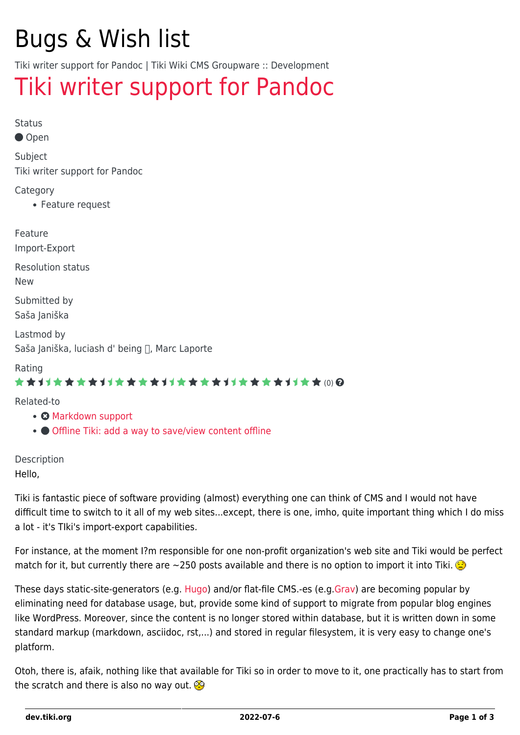# Bugs & Wish list

Tiki writer support for Pandoc | Tiki Wiki CMS Groupware :: Development

## [Tiki writer support for Pandoc](https://dev.tiki.org/item6827-Tiki-writer-support-for-Pandoc)

Status

Open

Subject

Tiki writer support for Pandoc

**Category** 

Feature request

Feature Import-Export

Resolution status New

Submitted by

Saša Janiška

Lastmod by Saša Janiška, luciash d' being n, Marc Laporte

#### Rating

#### \*\*\*\*\*\*\*\*\*\*\*\*\*\*\*\*\*\*\*\*\*\*\*\*\*\*\*\*\*\*

Related-to

- **@** [Markdown support](https://dev.tiki.org/item6697-Markdown-support)
- [Offline Tiki: add a way to save/view content offline](https://dev.tiki.org/item1413-Offline-Tiki-add-a-way-to-save-view-content-offline)

Description Hello,

Tiki is fantastic piece of software providing (almost) everything one can think of CMS and I would not have difficult time to switch to it all of my web sites...except, there is one, imho, quite important thing which I do miss a lot - it's TIki's import-export capabilities.

For instance, at the moment I?m responsible for one non-profit organization's web site and Tiki would be perfect match for it, but currently there are  $\sim$ 250 posts available and there is no option to import it into Tiki.

These days static-site-generators (e.g. [Hugo\)](https://gohugo.io/) and/or flat-file CMS.-es (e.g[.Grav\)](https://getgrav.org/) are becoming popular by eliminating need for database usage, but, provide some kind of support to migrate from popular blog engines like WordPress. Moreover, since the content is no longer stored within database, but it is written down in some standard markup (markdown, asciidoc, rst,...) and stored in regular filesystem, it is very easy to change one's platform.

Otoh, there is, afaik, nothing like that available for Tiki so in order to move to it, one practically has to start from the scratch and there is also no way out.  $\circledR$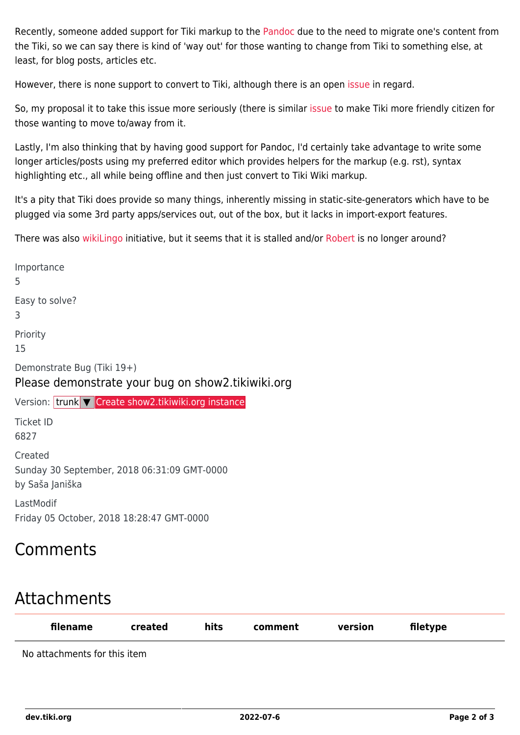Recently, someone added support for Tiki markup to the [Pandoc](https://pandoc.org/) due to the need to migrate one's content from the Tiki, so we can say there is kind of 'way out' for those wanting to change from Tiki to something else, at least, for blog posts, articles etc.

However, there is none support to convert to Tiki, although there is an open [issue](https://github.com/jgm/pandoc/issues/4825) in regard.

So, my proposal it to take this issue more seriously (there is similar [issue](https://dev.tiki.org/item6697-Markdown-support) to make Tiki more friendly citizen for those wanting to move to/away from it.

Lastly, I'm also thinking that by having good support for Pandoc, I'd certainly take advantage to write some longer articles/posts using my preferred editor which provides helpers for the markup (e.g. rst), syntax highlighting etc., all while being offline and then just convert to Tiki Wiki markup.

It's a pity that Tiki does provide so many things, inherently missing in static-site-generators which have to be plugged via some 3rd party apps/services out, out of the box, but it lacks in import-export features.

There was also [wikiLingo](https://github.com/wikiLingo/wikiLingo) initiative, but it seems that it is stalled and/or [Robert](https://tiki.org/item6607-6607?highlight=robert%20plummer) is no longer around?

Importance 5 Easy to solve? 3 Priority 15 Demonstrate Bug (Tiki 19+) Please demonstrate your bug on show2.tikiwiki.org Version: trunk ▼ [Create show2.tikiwiki.org instance](#page--1-0) Ticket ID 6827 Created Sunday 30 September, 2018 06:31:09 GMT-0000 by Saša Janiška LastModif Friday 05 October, 2018 18:28:47 GMT-0000

## Comments

## Attachments

| filename                     | created | hits | comment | version | filetype |  |
|------------------------------|---------|------|---------|---------|----------|--|
| No attachments for this item |         |      |         |         |          |  |

**dev.tiki.org 2022-07-6 Page 2 of 3**